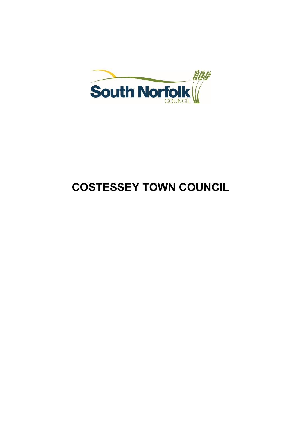

# **COSTESSEY TOWN COUNCIL**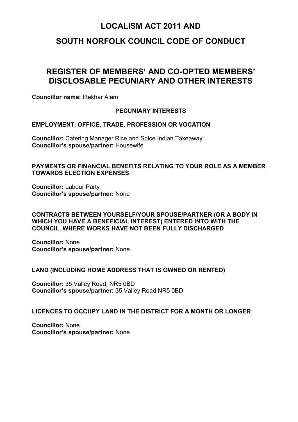# **SOUTH NORFOLK COUNCIL CODE OF CONDUCT**

# **REGISTER OF MEMBERS' AND CO-OPTED MEMBERS' DISCLOSABLE PECUNIARY AND OTHER INTERESTS**

**Councillor name:** Iftekhar Alam

#### **PECUNIARY INTERESTS**

**EMPLOYMENT, OFFICE, TRADE, PROFESSION OR VOCATION**

**Councillor:** Catering Manager Rice and Spice Indian Takeaway **Councillor's spouse/partner:** Housewife

#### **PAYMENTS OR FINANCIAL BENEFITS RELATING TO YOUR ROLE AS A MEMBER TOWARDS ELECTION EXPENSES**

**Councillor:** Labour Party **Councillor's spouse/partner:** None

#### **CONTRACTS BETWEEN YOURSELF/YOUR SPOUSE/PARTNER (OR A BODY IN WHICH YOU HAVE A BENEFICIAL INTEREST) ENTERED INTO WITH THE COUNCIL, WHERE WORKS HAVE NOT BEEN FULLY DISCHARGED**

**Councillor:** None **Councillor's spouse/partner:** None

#### **LAND (INCLUDING HOME ADDRESS THAT IS OWNED OR RENTED)**

**Councillor:** 35 Valley Road, NR5 0BD **Councillor's spouse/partner:** 35 Valley Road NR5 0BD

#### **LICENCES TO OCCUPY LAND IN THE DISTRICT FOR A MONTH OR LONGER**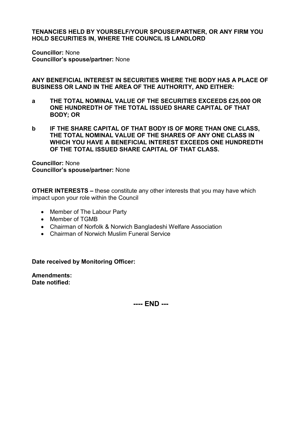**Councillor:** None **Councillor's spouse/partner:** None

**ANY BENEFICIAL INTEREST IN SECURITIES WHERE THE BODY HAS A PLACE OF BUSINESS OR LAND IN THE AREA OF THE AUTHORITY, AND EITHER:**

- **a THE TOTAL NOMINAL VALUE OF THE SECURITIES EXCEEDS £25,000 OR ONE HUNDREDTH OF THE TOTAL ISSUED SHARE CAPITAL OF THAT BODY; OR**
- **b IF THE SHARE CAPITAL OF THAT BODY IS OF MORE THAN ONE CLASS, THE TOTAL NOMINAL VALUE OF THE SHARES OF ANY ONE CLASS IN WHICH YOU HAVE A BENEFICIAL INTEREST EXCEEDS ONE HUNDREDTH OF THE TOTAL ISSUED SHARE CAPITAL OF THAT CLASS.**

**Councillor:** None **Councillor's spouse/partner:** None

**OTHER INTERESTS –** these constitute any other interests that you may have which impact upon your role within the Council

- Member of The Labour Party
- Member of TGMB
- Chairman of Norfolk & Norwich Bangladeshi Welfare Association
- Chairman of Norwich Muslim Funeral Service

**Date received by Monitoring Officer:** 

**Amendments: Date notified:**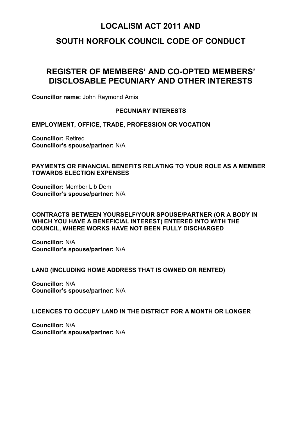### **SOUTH NORFOLK COUNCIL CODE OF CONDUCT**

# **REGISTER OF MEMBERS' AND CO-OPTED MEMBERS' DISCLOSABLE PECUNIARY AND OTHER INTERESTS**

**Councillor name:** John Raymond Amis

#### **PECUNIARY INTERESTS**

**EMPLOYMENT, OFFICE, TRADE, PROFESSION OR VOCATION**

**Councillor:** Retired **Councillor's spouse/partner:** N/A

#### **PAYMENTS OR FINANCIAL BENEFITS RELATING TO YOUR ROLE AS A MEMBER TOWARDS ELECTION EXPENSES**

**Councillor:** Member Lib Dem **Councillor's spouse/partner:** N/A

#### **CONTRACTS BETWEEN YOURSELF/YOUR SPOUSE/PARTNER (OR A BODY IN WHICH YOU HAVE A BENEFICIAL INTEREST) ENTERED INTO WITH THE COUNCIL, WHERE WORKS HAVE NOT BEEN FULLY DISCHARGED**

**Councillor:** N/A **Councillor's spouse/partner:** N/A

#### **LAND (INCLUDING HOME ADDRESS THAT IS OWNED OR RENTED)**

**Councillor:** N/A **Councillor's spouse/partner:** N/A

#### **LICENCES TO OCCUPY LAND IN THE DISTRICT FOR A MONTH OR LONGER**

**Councillor:** N/A **Councillor's spouse/partner:** N/A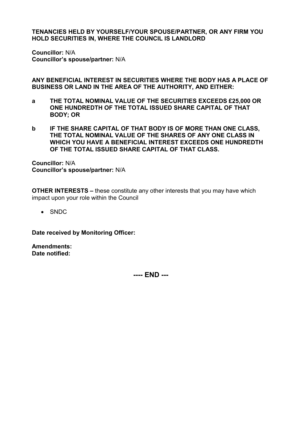**Councillor:** N/A **Councillor's spouse/partner:** N/A

**ANY BENEFICIAL INTEREST IN SECURITIES WHERE THE BODY HAS A PLACE OF BUSINESS OR LAND IN THE AREA OF THE AUTHORITY, AND EITHER:**

- **a THE TOTAL NOMINAL VALUE OF THE SECURITIES EXCEEDS £25,000 OR ONE HUNDREDTH OF THE TOTAL ISSUED SHARE CAPITAL OF THAT BODY; OR**
- **b IF THE SHARE CAPITAL OF THAT BODY IS OF MORE THAN ONE CLASS, THE TOTAL NOMINAL VALUE OF THE SHARES OF ANY ONE CLASS IN WHICH YOU HAVE A BENEFICIAL INTEREST EXCEEDS ONE HUNDREDTH OF THE TOTAL ISSUED SHARE CAPITAL OF THAT CLASS.**

**Councillor:** N/A **Councillor's spouse/partner:** N/A

**OTHER INTERESTS –** these constitute any other interests that you may have which impact upon your role within the Council

• SNDC

**Date received by Monitoring Officer:** 

**Amendments: Date notified:**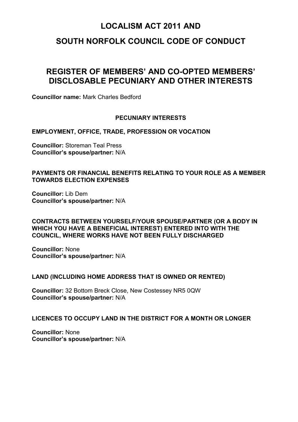### **SOUTH NORFOLK COUNCIL CODE OF CONDUCT**

# **REGISTER OF MEMBERS' AND CO-OPTED MEMBERS' DISCLOSABLE PECUNIARY AND OTHER INTERESTS**

**Councillor name:** Mark Charles Bedford

#### **PECUNIARY INTERESTS**

**EMPLOYMENT, OFFICE, TRADE, PROFESSION OR VOCATION**

**Councillor:** Storeman Teal Press **Councillor's spouse/partner:** N/A

#### **PAYMENTS OR FINANCIAL BENEFITS RELATING TO YOUR ROLE AS A MEMBER TOWARDS ELECTION EXPENSES**

**Councillor:** Lib Dem **Councillor's spouse/partner:** N/A

#### **CONTRACTS BETWEEN YOURSELF/YOUR SPOUSE/PARTNER (OR A BODY IN WHICH YOU HAVE A BENEFICIAL INTEREST) ENTERED INTO WITH THE COUNCIL, WHERE WORKS HAVE NOT BEEN FULLY DISCHARGED**

**Councillor:** None **Councillor's spouse/partner:** N/A

#### **LAND (INCLUDING HOME ADDRESS THAT IS OWNED OR RENTED)**

**Councillor:** 32 Bottom Breck Close, New Costessey NR5 0QW **Councillor's spouse/partner:** N/A

#### **LICENCES TO OCCUPY LAND IN THE DISTRICT FOR A MONTH OR LONGER**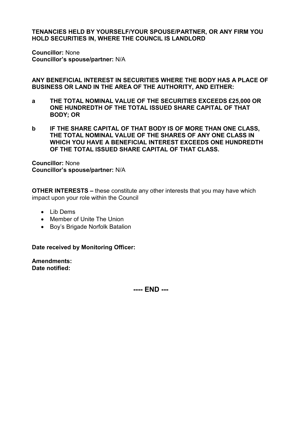**Councillor:** None **Councillor's spouse/partner:** N/A

**ANY BENEFICIAL INTEREST IN SECURITIES WHERE THE BODY HAS A PLACE OF BUSINESS OR LAND IN THE AREA OF THE AUTHORITY, AND EITHER:**

- **a THE TOTAL NOMINAL VALUE OF THE SECURITIES EXCEEDS £25,000 OR ONE HUNDREDTH OF THE TOTAL ISSUED SHARE CAPITAL OF THAT BODY; OR**
- **b IF THE SHARE CAPITAL OF THAT BODY IS OF MORE THAN ONE CLASS, THE TOTAL NOMINAL VALUE OF THE SHARES OF ANY ONE CLASS IN WHICH YOU HAVE A BENEFICIAL INTEREST EXCEEDS ONE HUNDREDTH OF THE TOTAL ISSUED SHARE CAPITAL OF THAT CLASS.**

**Councillor:** None **Councillor's spouse/partner:** N/A

**OTHER INTERESTS –** these constitute any other interests that you may have which impact upon your role within the Council

- Lib Dems
- Member of Unite The Union
- Boy's Brigade Norfolk Batalion

**Date received by Monitoring Officer:** 

**Amendments: Date notified:**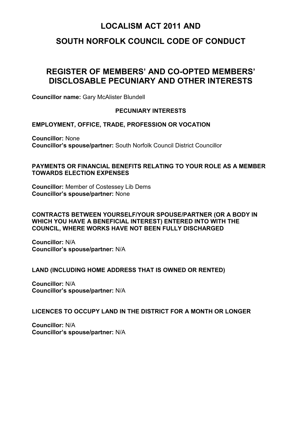# **SOUTH NORFOLK COUNCIL CODE OF CONDUCT**

# **REGISTER OF MEMBERS' AND CO-OPTED MEMBERS' DISCLOSABLE PECUNIARY AND OTHER INTERESTS**

**Councillor name:** Gary McAlister Blundell

#### **PECUNIARY INTERESTS**

**EMPLOYMENT, OFFICE, TRADE, PROFESSION OR VOCATION**

**Councillor:** None **Councillor's spouse/partner:** South Norfolk Council District Councillor

#### **PAYMENTS OR FINANCIAL BENEFITS RELATING TO YOUR ROLE AS A MEMBER TOWARDS ELECTION EXPENSES**

**Councillor:** Member of Costessey Lib Dems **Councillor's spouse/partner:** None

#### **CONTRACTS BETWEEN YOURSELF/YOUR SPOUSE/PARTNER (OR A BODY IN WHICH YOU HAVE A BENEFICIAL INTEREST) ENTERED INTO WITH THE COUNCIL, WHERE WORKS HAVE NOT BEEN FULLY DISCHARGED**

**Councillor:** N/A **Councillor's spouse/partner:** N/A

#### **LAND (INCLUDING HOME ADDRESS THAT IS OWNED OR RENTED)**

**Councillor:** N/A **Councillor's spouse/partner:** N/A

#### **LICENCES TO OCCUPY LAND IN THE DISTRICT FOR A MONTH OR LONGER**

**Councillor:** N/A **Councillor's spouse/partner:** N/A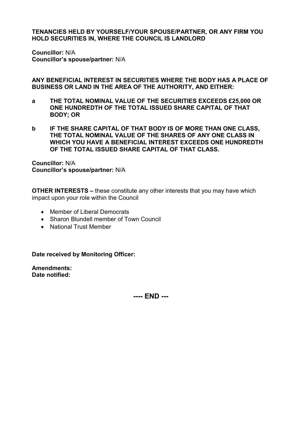**Councillor:** N/A **Councillor's spouse/partner:** N/A

**ANY BENEFICIAL INTEREST IN SECURITIES WHERE THE BODY HAS A PLACE OF BUSINESS OR LAND IN THE AREA OF THE AUTHORITY, AND EITHER:**

- **a THE TOTAL NOMINAL VALUE OF THE SECURITIES EXCEEDS £25,000 OR ONE HUNDREDTH OF THE TOTAL ISSUED SHARE CAPITAL OF THAT BODY; OR**
- **b IF THE SHARE CAPITAL OF THAT BODY IS OF MORE THAN ONE CLASS, THE TOTAL NOMINAL VALUE OF THE SHARES OF ANY ONE CLASS IN WHICH YOU HAVE A BENEFICIAL INTEREST EXCEEDS ONE HUNDREDTH OF THE TOTAL ISSUED SHARE CAPITAL OF THAT CLASS.**

**Councillor:** N/A **Councillor's spouse/partner:** N/A

**OTHER INTERESTS –** these constitute any other interests that you may have which impact upon your role within the Council

- Member of Liberal Democrats
- Sharon Blundell member of Town Council
- National Trust Member

**Date received by Monitoring Officer:** 

**Amendments: Date notified:**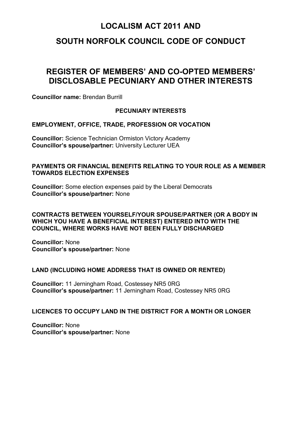# **SOUTH NORFOLK COUNCIL CODE OF CONDUCT**

# **REGISTER OF MEMBERS' AND CO-OPTED MEMBERS' DISCLOSABLE PECUNIARY AND OTHER INTERESTS**

**Councillor name:** Brendan Burrill

#### **PECUNIARY INTERESTS**

**EMPLOYMENT, OFFICE, TRADE, PROFESSION OR VOCATION**

**Councillor:** Science Technician Ormiston Victory Academy **Councillor's spouse/partner:** University Lecturer UEA

#### **PAYMENTS OR FINANCIAL BENEFITS RELATING TO YOUR ROLE AS A MEMBER TOWARDS ELECTION EXPENSES**

**Councillor:** Some election expenses paid by the Liberal Democrats **Councillor's spouse/partner:** None

#### **CONTRACTS BETWEEN YOURSELF/YOUR SPOUSE/PARTNER (OR A BODY IN WHICH YOU HAVE A BENEFICIAL INTEREST) ENTERED INTO WITH THE COUNCIL, WHERE WORKS HAVE NOT BEEN FULLY DISCHARGED**

**Councillor:** None **Councillor's spouse/partner:** None

#### **LAND (INCLUDING HOME ADDRESS THAT IS OWNED OR RENTED)**

**Councillor:** 11 Jerningham Road, Costessey NR5 0RG **Councillor's spouse/partner:** 11 Jerningham Road, Costessey NR5 0RG

#### **LICENCES TO OCCUPY LAND IN THE DISTRICT FOR A MONTH OR LONGER**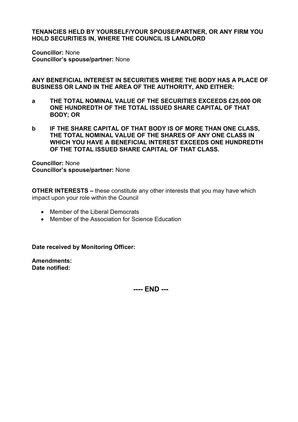**Councillor:** None **Councillor's spouse/partner:** None

**ANY BENEFICIAL INTEREST IN SECURITIES WHERE THE BODY HAS A PLACE OF BUSINESS OR LAND IN THE AREA OF THE AUTHORITY, AND EITHER:**

- **a THE TOTAL NOMINAL VALUE OF THE SECURITIES EXCEEDS £25,000 OR ONE HUNDREDTH OF THE TOTAL ISSUED SHARE CAPITAL OF THAT BODY; OR**
- **b IF THE SHARE CAPITAL OF THAT BODY IS OF MORE THAN ONE CLASS, THE TOTAL NOMINAL VALUE OF THE SHARES OF ANY ONE CLASS IN WHICH YOU HAVE A BENEFICIAL INTEREST EXCEEDS ONE HUNDREDTH OF THE TOTAL ISSUED SHARE CAPITAL OF THAT CLASS.**

**Councillor:** None **Councillor's spouse/partner:** None

**OTHER INTERESTS –** these constitute any other interests that you may have which impact upon your role within the Council

- Member of the Liberal Democrats
- Member of the Association for Science Education

**Date received by Monitoring Officer:** 

**Amendments: Date notified:**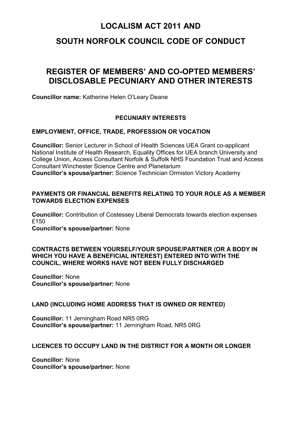### **SOUTH NORFOLK COUNCIL CODE OF CONDUCT**

# **REGISTER OF MEMBERS' AND CO-OPTED MEMBERS' DISCLOSABLE PECUNIARY AND OTHER INTERESTS**

**Councillor name:** Katherine Helen O'Leary Deane

#### **PECUNIARY INTERESTS**

#### **EMPLOYMENT, OFFICE, TRADE, PROFESSION OR VOCATION**

**Councillor:** Senior Lecturer in School of Health Sciences UEA Grant co-applicant National Institute of Health Research, Equality Offices for UEA branch University and College Union, Access Consultant Norfolk & Suffolk NHS Foundation Trust and Access Consultant Winchester Science Centre and Planetarium **Councillor's spouse/partner:** Science Technician Ormiston Victory Academy

#### **PAYMENTS OR FINANCIAL BENEFITS RELATING TO YOUR ROLE AS A MEMBER TOWARDS ELECTION EXPENSES**

**Councillor:** Contribution of Costessey Liberal Democrats towards election expenses £150 **Councillor's spouse/partner:** None

#### **CONTRACTS BETWEEN YOURSELF/YOUR SPOUSE/PARTNER (OR A BODY IN WHICH YOU HAVE A BENEFICIAL INTEREST) ENTERED INTO WITH THE COUNCIL, WHERE WORKS HAVE NOT BEEN FULLY DISCHARGED**

**Councillor:** None **Councillor's spouse/partner:** None

#### **LAND (INCLUDING HOME ADDRESS THAT IS OWNED OR RENTED)**

**Councillor:** 11 Jerningham Road NR5 0RG **Councillor's spouse/partner:** 11 Jerningham Road, NR5 0RG

#### **LICENCES TO OCCUPY LAND IN THE DISTRICT FOR A MONTH OR LONGER**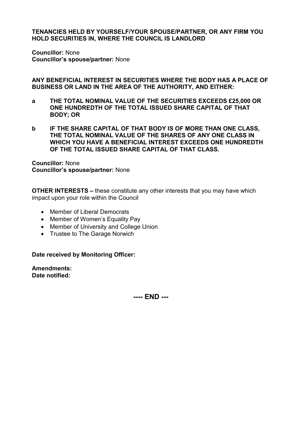**Councillor:** None **Councillor's spouse/partner:** None

**ANY BENEFICIAL INTEREST IN SECURITIES WHERE THE BODY HAS A PLACE OF BUSINESS OR LAND IN THE AREA OF THE AUTHORITY, AND EITHER:**

- **a THE TOTAL NOMINAL VALUE OF THE SECURITIES EXCEEDS £25,000 OR ONE HUNDREDTH OF THE TOTAL ISSUED SHARE CAPITAL OF THAT BODY; OR**
- **b IF THE SHARE CAPITAL OF THAT BODY IS OF MORE THAN ONE CLASS, THE TOTAL NOMINAL VALUE OF THE SHARES OF ANY ONE CLASS IN WHICH YOU HAVE A BENEFICIAL INTEREST EXCEEDS ONE HUNDREDTH OF THE TOTAL ISSUED SHARE CAPITAL OF THAT CLASS.**

**Councillor:** None **Councillor's spouse/partner:** None

**OTHER INTERESTS –** these constitute any other interests that you may have which impact upon your role within the Council

- Member of Liberal Democrats
- Member of Women's Equality Pay
- Member of University and College Union
- Trustee to The Garage Norwich

**Date received by Monitoring Officer:** 

**Amendments: Date notified:**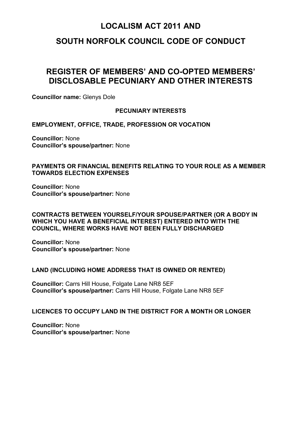### **SOUTH NORFOLK COUNCIL CODE OF CONDUCT**

# **REGISTER OF MEMBERS' AND CO-OPTED MEMBERS' DISCLOSABLE PECUNIARY AND OTHER INTERESTS**

**Councillor name:** Glenys Dole

#### **PECUNIARY INTERESTS**

**EMPLOYMENT, OFFICE, TRADE, PROFESSION OR VOCATION**

**Councillor:** None **Councillor's spouse/partner:** None

#### **PAYMENTS OR FINANCIAL BENEFITS RELATING TO YOUR ROLE AS A MEMBER TOWARDS ELECTION EXPENSES**

**Councillor:** None **Councillor's spouse/partner:** None

#### **CONTRACTS BETWEEN YOURSELF/YOUR SPOUSE/PARTNER (OR A BODY IN WHICH YOU HAVE A BENEFICIAL INTEREST) ENTERED INTO WITH THE COUNCIL, WHERE WORKS HAVE NOT BEEN FULLY DISCHARGED**

**Councillor:** None **Councillor's spouse/partner:** None

#### **LAND (INCLUDING HOME ADDRESS THAT IS OWNED OR RENTED)**

**Councillor:** Carrs Hill House, Folgate Lane NR8 5EF **Councillor's spouse/partner:** Carrs Hill House, Folgate Lane NR8 5EF

#### **LICENCES TO OCCUPY LAND IN THE DISTRICT FOR A MONTH OR LONGER**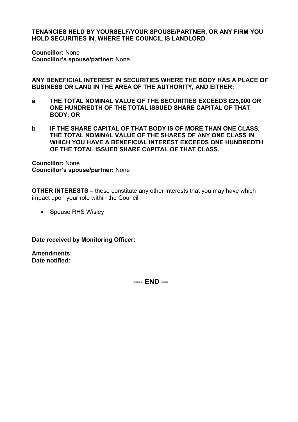**Councillor:** None **Councillor's spouse/partner:** None

**ANY BENEFICIAL INTEREST IN SECURITIES WHERE THE BODY HAS A PLACE OF BUSINESS OR LAND IN THE AREA OF THE AUTHORITY, AND EITHER:**

- **a THE TOTAL NOMINAL VALUE OF THE SECURITIES EXCEEDS £25,000 OR ONE HUNDREDTH OF THE TOTAL ISSUED SHARE CAPITAL OF THAT BODY; OR**
- **b IF THE SHARE CAPITAL OF THAT BODY IS OF MORE THAN ONE CLASS, THE TOTAL NOMINAL VALUE OF THE SHARES OF ANY ONE CLASS IN WHICH YOU HAVE A BENEFICIAL INTEREST EXCEEDS ONE HUNDREDTH OF THE TOTAL ISSUED SHARE CAPITAL OF THAT CLASS.**

**Councillor:** None **Councillor's spouse/partner:** None

**OTHER INTERESTS –** these constitute any other interests that you may have which impact upon your role within the Council

• Spouse RHS Wisley

**Date received by Monitoring Officer:** 

**Amendments: Date notified:**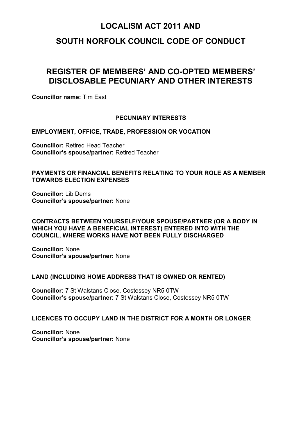### **SOUTH NORFOLK COUNCIL CODE OF CONDUCT**

# **REGISTER OF MEMBERS' AND CO-OPTED MEMBERS' DISCLOSABLE PECUNIARY AND OTHER INTERESTS**

**Councillor name:** Tim East

#### **PECUNIARY INTERESTS**

#### **EMPLOYMENT, OFFICE, TRADE, PROFESSION OR VOCATION**

**Councillor:** Retired Head Teacher **Councillor's spouse/partner:** Retired Teacher

#### **PAYMENTS OR FINANCIAL BENEFITS RELATING TO YOUR ROLE AS A MEMBER TOWARDS ELECTION EXPENSES**

**Councillor:** Lib Dems **Councillor's spouse/partner:** None

#### **CONTRACTS BETWEEN YOURSELF/YOUR SPOUSE/PARTNER (OR A BODY IN WHICH YOU HAVE A BENEFICIAL INTEREST) ENTERED INTO WITH THE COUNCIL, WHERE WORKS HAVE NOT BEEN FULLY DISCHARGED**

**Councillor:** None **Councillor's spouse/partner:** None

#### **LAND (INCLUDING HOME ADDRESS THAT IS OWNED OR RENTED)**

**Councillor:** 7 St Walstans Close, Costessey NR5 0TW **Councillor's spouse/partner:** 7 St Walstans Close, Costessey NR5 0TW

#### **LICENCES TO OCCUPY LAND IN THE DISTRICT FOR A MONTH OR LONGER**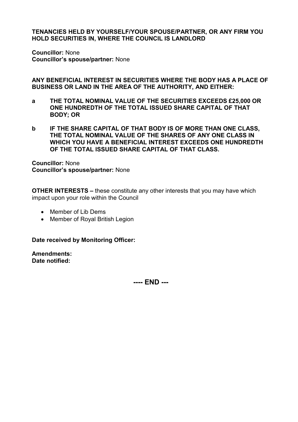**Councillor:** None **Councillor's spouse/partner:** None

**ANY BENEFICIAL INTEREST IN SECURITIES WHERE THE BODY HAS A PLACE OF BUSINESS OR LAND IN THE AREA OF THE AUTHORITY, AND EITHER:**

- **a THE TOTAL NOMINAL VALUE OF THE SECURITIES EXCEEDS £25,000 OR ONE HUNDREDTH OF THE TOTAL ISSUED SHARE CAPITAL OF THAT BODY; OR**
- **b IF THE SHARE CAPITAL OF THAT BODY IS OF MORE THAN ONE CLASS, THE TOTAL NOMINAL VALUE OF THE SHARES OF ANY ONE CLASS IN WHICH YOU HAVE A BENEFICIAL INTEREST EXCEEDS ONE HUNDREDTH OF THE TOTAL ISSUED SHARE CAPITAL OF THAT CLASS.**

**Councillor:** None **Councillor's spouse/partner:** None

**OTHER INTERESTS –** these constitute any other interests that you may have which impact upon your role within the Council

- Member of Lib Dems
- Member of Royal British Legion

**Date received by Monitoring Officer:** 

**Amendments: Date notified:**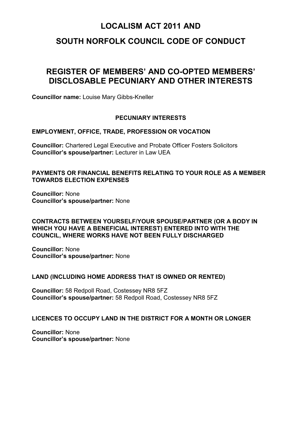### **SOUTH NORFOLK COUNCIL CODE OF CONDUCT**

# **REGISTER OF MEMBERS' AND CO-OPTED MEMBERS' DISCLOSABLE PECUNIARY AND OTHER INTERESTS**

**Councillor name:** Louise Mary Gibbs-Kneller

#### **PECUNIARY INTERESTS**

#### **EMPLOYMENT, OFFICE, TRADE, PROFESSION OR VOCATION**

**Councillor:** Chartered Legal Executive and Probate Officer Fosters Solicitors **Councillor's spouse/partner:** Lecturer in Law UEA

#### **PAYMENTS OR FINANCIAL BENEFITS RELATING TO YOUR ROLE AS A MEMBER TOWARDS ELECTION EXPENSES**

**Councillor:** None **Councillor's spouse/partner:** None

#### **CONTRACTS BETWEEN YOURSELF/YOUR SPOUSE/PARTNER (OR A BODY IN WHICH YOU HAVE A BENEFICIAL INTEREST) ENTERED INTO WITH THE COUNCIL, WHERE WORKS HAVE NOT BEEN FULLY DISCHARGED**

**Councillor:** None **Councillor's spouse/partner:** None

#### **LAND (INCLUDING HOME ADDRESS THAT IS OWNED OR RENTED)**

**Councillor:** 58 Redpoll Road, Costessey NR8 5FZ **Councillor's spouse/partner:** 58 Redpoll Road, Costessey NR8 5FZ

#### **LICENCES TO OCCUPY LAND IN THE DISTRICT FOR A MONTH OR LONGER**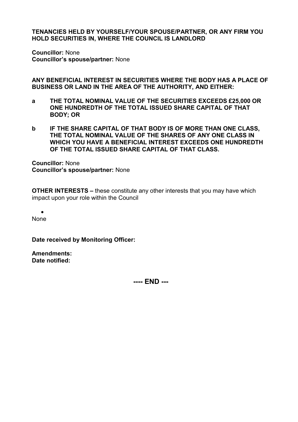**Councillor:** None **Councillor's spouse/partner:** None

**ANY BENEFICIAL INTEREST IN SECURITIES WHERE THE BODY HAS A PLACE OF BUSINESS OR LAND IN THE AREA OF THE AUTHORITY, AND EITHER:**

- **a THE TOTAL NOMINAL VALUE OF THE SECURITIES EXCEEDS £25,000 OR ONE HUNDREDTH OF THE TOTAL ISSUED SHARE CAPITAL OF THAT BODY; OR**
- **b IF THE SHARE CAPITAL OF THAT BODY IS OF MORE THAN ONE CLASS, THE TOTAL NOMINAL VALUE OF THE SHARES OF ANY ONE CLASS IN WHICH YOU HAVE A BENEFICIAL INTEREST EXCEEDS ONE HUNDREDTH OF THE TOTAL ISSUED SHARE CAPITAL OF THAT CLASS.**

**Councillor:** None **Councillor's spouse/partner:** None

**OTHER INTERESTS –** these constitute any other interests that you may have which impact upon your role within the Council

• None

**Date received by Monitoring Officer:** 

**Amendments: Date notified:**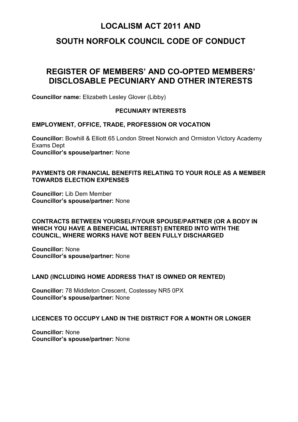# **SOUTH NORFOLK COUNCIL CODE OF CONDUCT**

# **REGISTER OF MEMBERS' AND CO-OPTED MEMBERS' DISCLOSABLE PECUNIARY AND OTHER INTERESTS**

**Councillor name:** Elizabeth Lesley Glover (Libby)

#### **PECUNIARY INTERESTS**

#### **EMPLOYMENT, OFFICE, TRADE, PROFESSION OR VOCATION**

**Councillor:** Bowhill & Elliott 65 London Street Norwich and Ormiston Victory Academy Exams Dept **Councillor's spouse/partner:** None

#### **PAYMENTS OR FINANCIAL BENEFITS RELATING TO YOUR ROLE AS A MEMBER TOWARDS ELECTION EXPENSES**

**Councillor:** Lib Dem Member **Councillor's spouse/partner:** None

#### **CONTRACTS BETWEEN YOURSELF/YOUR SPOUSE/PARTNER (OR A BODY IN WHICH YOU HAVE A BENEFICIAL INTEREST) ENTERED INTO WITH THE COUNCIL, WHERE WORKS HAVE NOT BEEN FULLY DISCHARGED**

**Councillor:** None **Councillor's spouse/partner:** None

#### **LAND (INCLUDING HOME ADDRESS THAT IS OWNED OR RENTED)**

**Councillor:** 78 Middleton Crescent, Costessey NR5 0PX **Councillor's spouse/partner:** None

#### **LICENCES TO OCCUPY LAND IN THE DISTRICT FOR A MONTH OR LONGER**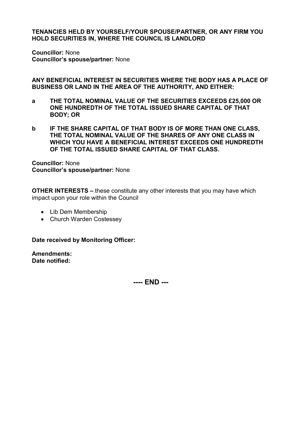**Councillor:** None **Councillor's spouse/partner:** None

**ANY BENEFICIAL INTEREST IN SECURITIES WHERE THE BODY HAS A PLACE OF BUSINESS OR LAND IN THE AREA OF THE AUTHORITY, AND EITHER:**

- **a THE TOTAL NOMINAL VALUE OF THE SECURITIES EXCEEDS £25,000 OR ONE HUNDREDTH OF THE TOTAL ISSUED SHARE CAPITAL OF THAT BODY; OR**
- **b IF THE SHARE CAPITAL OF THAT BODY IS OF MORE THAN ONE CLASS, THE TOTAL NOMINAL VALUE OF THE SHARES OF ANY ONE CLASS IN WHICH YOU HAVE A BENEFICIAL INTEREST EXCEEDS ONE HUNDREDTH OF THE TOTAL ISSUED SHARE CAPITAL OF THAT CLASS.**

**Councillor:** None **Councillor's spouse/partner:** None

**OTHER INTERESTS –** these constitute any other interests that you may have which impact upon your role within the Council

- Lib Dem Membership
- Church Warden Costessey

**Date received by Monitoring Officer:** 

**Amendments: Date notified:**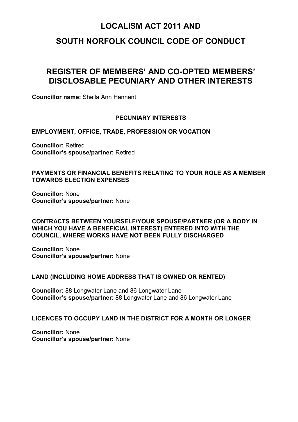### **SOUTH NORFOLK COUNCIL CODE OF CONDUCT**

# **REGISTER OF MEMBERS' AND CO-OPTED MEMBERS' DISCLOSABLE PECUNIARY AND OTHER INTERESTS**

**Councillor name:** Sheila Ann Hannant

#### **PECUNIARY INTERESTS**

**EMPLOYMENT, OFFICE, TRADE, PROFESSION OR VOCATION**

**Councillor:** Retired **Councillor's spouse/partner:** Retired

#### **PAYMENTS OR FINANCIAL BENEFITS RELATING TO YOUR ROLE AS A MEMBER TOWARDS ELECTION EXPENSES**

**Councillor:** None **Councillor's spouse/partner:** None

#### **CONTRACTS BETWEEN YOURSELF/YOUR SPOUSE/PARTNER (OR A BODY IN WHICH YOU HAVE A BENEFICIAL INTEREST) ENTERED INTO WITH THE COUNCIL, WHERE WORKS HAVE NOT BEEN FULLY DISCHARGED**

**Councillor:** None **Councillor's spouse/partner:** None

#### **LAND (INCLUDING HOME ADDRESS THAT IS OWNED OR RENTED)**

**Councillor:** 88 Longwater Lane and 86 Longwater Lane **Councillor's spouse/partner:** 88 Longwater Lane and 86 Longwater Lane

#### **LICENCES TO OCCUPY LAND IN THE DISTRICT FOR A MONTH OR LONGER**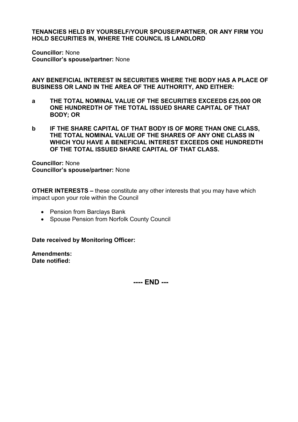**Councillor:** None **Councillor's spouse/partner:** None

**ANY BENEFICIAL INTEREST IN SECURITIES WHERE THE BODY HAS A PLACE OF BUSINESS OR LAND IN THE AREA OF THE AUTHORITY, AND EITHER:**

- **a THE TOTAL NOMINAL VALUE OF THE SECURITIES EXCEEDS £25,000 OR ONE HUNDREDTH OF THE TOTAL ISSUED SHARE CAPITAL OF THAT BODY; OR**
- **b IF THE SHARE CAPITAL OF THAT BODY IS OF MORE THAN ONE CLASS, THE TOTAL NOMINAL VALUE OF THE SHARES OF ANY ONE CLASS IN WHICH YOU HAVE A BENEFICIAL INTEREST EXCEEDS ONE HUNDREDTH OF THE TOTAL ISSUED SHARE CAPITAL OF THAT CLASS.**

**Councillor:** None **Councillor's spouse/partner:** None

**OTHER INTERESTS –** these constitute any other interests that you may have which impact upon your role within the Council

- Pension from Barclays Bank
- Spouse Pension from Norfolk County Council

**Date received by Monitoring Officer:** 

**Amendments: Date notified:**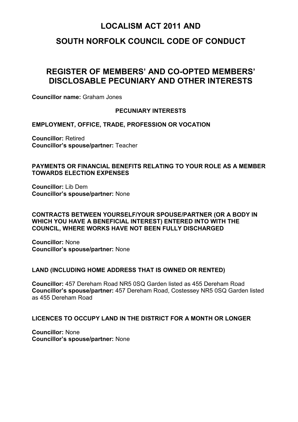### **SOUTH NORFOLK COUNCIL CODE OF CONDUCT**

# **REGISTER OF MEMBERS' AND CO-OPTED MEMBERS' DISCLOSABLE PECUNIARY AND OTHER INTERESTS**

**Councillor name:** Graham Jones

#### **PECUNIARY INTERESTS**

**EMPLOYMENT, OFFICE, TRADE, PROFESSION OR VOCATION**

**Councillor:** Retired **Councillor's spouse/partner:** Teacher

#### **PAYMENTS OR FINANCIAL BENEFITS RELATING TO YOUR ROLE AS A MEMBER TOWARDS ELECTION EXPENSES**

**Councillor:** Lib Dem **Councillor's spouse/partner:** None

#### **CONTRACTS BETWEEN YOURSELF/YOUR SPOUSE/PARTNER (OR A BODY IN WHICH YOU HAVE A BENEFICIAL INTEREST) ENTERED INTO WITH THE COUNCIL, WHERE WORKS HAVE NOT BEEN FULLY DISCHARGED**

**Councillor:** None **Councillor's spouse/partner:** None

#### **LAND (INCLUDING HOME ADDRESS THAT IS OWNED OR RENTED)**

**Councillor:** 457 Dereham Road NR5 0SQ Garden listed as 455 Dereham Road **Councillor's spouse/partner:** 457 Dereham Road, Costessey NR5 0SQ Garden listed as 455 Dereham Road

#### **LICENCES TO OCCUPY LAND IN THE DISTRICT FOR A MONTH OR LONGER**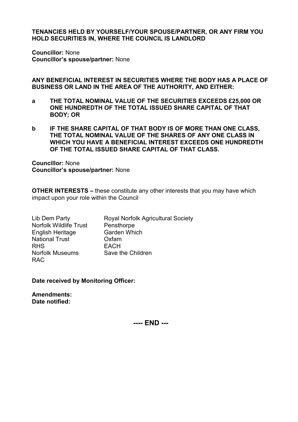**Councillor:** None **Councillor's spouse/partner:** None

**ANY BENEFICIAL INTEREST IN SECURITIES WHERE THE BODY HAS A PLACE OF BUSINESS OR LAND IN THE AREA OF THE AUTHORITY, AND EITHER:**

- **a THE TOTAL NOMINAL VALUE OF THE SECURITIES EXCEEDS £25,000 OR ONE HUNDREDTH OF THE TOTAL ISSUED SHARE CAPITAL OF THAT BODY; OR**
- **b IF THE SHARE CAPITAL OF THAT BODY IS OF MORE THAN ONE CLASS, THE TOTAL NOMINAL VALUE OF THE SHARES OF ANY ONE CLASS IN WHICH YOU HAVE A BENEFICIAL INTEREST EXCEEDS ONE HUNDREDTH OF THE TOTAL ISSUED SHARE CAPITAL OF THAT CLASS.**

**Councillor:** None **Councillor's spouse/partner:** None

**OTHER INTERESTS –** these constitute any other interests that you may have which impact upon your role within the Council

| Lib Dem Party                 | <b>Royal Norfolk Agricultural Society</b> |
|-------------------------------|-------------------------------------------|
| <b>Norfolk Wildlife Trust</b> | Pensthorpe                                |
| <b>English Heritage</b>       | <b>Garden Which</b>                       |
| <b>National Trust</b>         | Oxfam                                     |
| <b>RHS</b>                    | <b>EACH</b>                               |
| <b>Norfolk Museums</b>        | Save the Children                         |
| <b>RAC</b>                    |                                           |

**Date received by Monitoring Officer:** 

**Amendments: Date notified:** 

**---- END ---**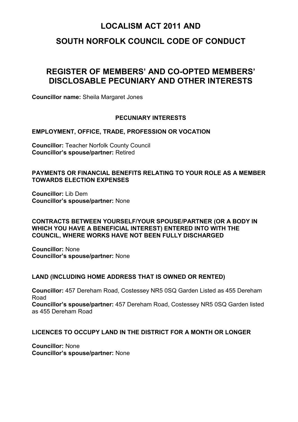### **SOUTH NORFOLK COUNCIL CODE OF CONDUCT**

# **REGISTER OF MEMBERS' AND CO-OPTED MEMBERS' DISCLOSABLE PECUNIARY AND OTHER INTERESTS**

**Councillor name:** Sheila Margaret Jones

#### **PECUNIARY INTERESTS**

#### **EMPLOYMENT, OFFICE, TRADE, PROFESSION OR VOCATION**

**Councillor:** Teacher Norfolk County Council **Councillor's spouse/partner:** Retired

#### **PAYMENTS OR FINANCIAL BENEFITS RELATING TO YOUR ROLE AS A MEMBER TOWARDS ELECTION EXPENSES**

**Councillor:** Lib Dem **Councillor's spouse/partner:** None

#### **CONTRACTS BETWEEN YOURSELF/YOUR SPOUSE/PARTNER (OR A BODY IN WHICH YOU HAVE A BENEFICIAL INTEREST) ENTERED INTO WITH THE COUNCIL, WHERE WORKS HAVE NOT BEEN FULLY DISCHARGED**

**Councillor:** None **Councillor's spouse/partner:** None

#### **LAND (INCLUDING HOME ADDRESS THAT IS OWNED OR RENTED)**

**Councillor:** 457 Dereham Road, Costessey NR5 0SQ Garden Listed as 455 Dereham Road **Councillor's spouse/partner:** 457 Dereham Road, Costessey NR5 0SQ Garden listed as 455 Dereham Road

#### **LICENCES TO OCCUPY LAND IN THE DISTRICT FOR A MONTH OR LONGER**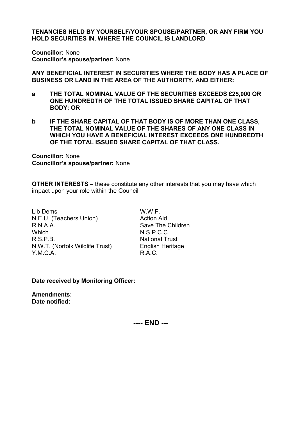**Councillor:** None **Councillor's spouse/partner:** None

**ANY BENEFICIAL INTEREST IN SECURITIES WHERE THE BODY HAS A PLACE OF BUSINESS OR LAND IN THE AREA OF THE AUTHORITY, AND EITHER:**

- **a THE TOTAL NOMINAL VALUE OF THE SECURITIES EXCEEDS £25,000 OR ONE HUNDREDTH OF THE TOTAL ISSUED SHARE CAPITAL OF THAT BODY; OR**
- **b IF THE SHARE CAPITAL OF THAT BODY IS OF MORE THAN ONE CLASS, THE TOTAL NOMINAL VALUE OF THE SHARES OF ANY ONE CLASS IN WHICH YOU HAVE A BENEFICIAL INTEREST EXCEEDS ONE HUNDREDTH OF THE TOTAL ISSUED SHARE CAPITAL OF THAT CLASS.**

**Councillor:** None **Councillor's spouse/partner:** None

**OTHER INTERESTS –** these constitute any other interests that you may have which impact upon your role within the Council

Lib Dems W.W.F. N.E.U. (Teachers Union) Action Aid R.N.A.A. Save The Children Which N.S.P.C.C.<br>R S P B National True N.W.T. (Norfolk Wildlife Trust) English Heritage YMCA RAC.

**National Trust** 

**Date received by Monitoring Officer:** 

**Amendments: Date notified:**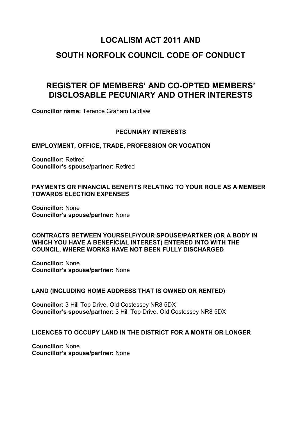# **SOUTH NORFOLK COUNCIL CODE OF CONDUCT**

# **REGISTER OF MEMBERS' AND CO-OPTED MEMBERS' DISCLOSABLE PECUNIARY AND OTHER INTERESTS**

**Councillor name:** Terence Graham Laidlaw

#### **PECUNIARY INTERESTS**

#### **EMPLOYMENT, OFFICE, TRADE, PROFESSION OR VOCATION**

**Councillor:** Retired **Councillor's spouse/partner:** Retired

#### **PAYMENTS OR FINANCIAL BENEFITS RELATING TO YOUR ROLE AS A MEMBER TOWARDS ELECTION EXPENSES**

**Councillor:** None **Councillor's spouse/partner:** None

**CONTRACTS BETWEEN YOURSELF/YOUR SPOUSE/PARTNER (OR A BODY IN WHICH YOU HAVE A BENEFICIAL INTEREST) ENTERED INTO WITH THE COUNCIL, WHERE WORKS HAVE NOT BEEN FULLY DISCHARGED**

**Councillor:** None **Councillor's spouse/partner:** None

#### **LAND (INCLUDING HOME ADDRESS THAT IS OWNED OR RENTED)**

**Councillor:** 3 Hill Top Drive, Old Costessey NR8 5DX **Councillor's spouse/partner:** 3 Hill Top Drive, Old Costessey NR8 5DX

#### **LICENCES TO OCCUPY LAND IN THE DISTRICT FOR A MONTH OR LONGER**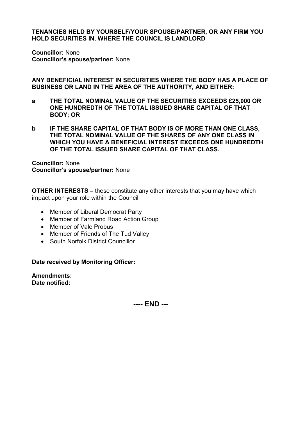**Councillor:** None **Councillor's spouse/partner:** None

**ANY BENEFICIAL INTEREST IN SECURITIES WHERE THE BODY HAS A PLACE OF BUSINESS OR LAND IN THE AREA OF THE AUTHORITY, AND EITHER:**

- **a THE TOTAL NOMINAL VALUE OF THE SECURITIES EXCEEDS £25,000 OR ONE HUNDREDTH OF THE TOTAL ISSUED SHARE CAPITAL OF THAT BODY; OR**
- **b IF THE SHARE CAPITAL OF THAT BODY IS OF MORE THAN ONE CLASS, THE TOTAL NOMINAL VALUE OF THE SHARES OF ANY ONE CLASS IN WHICH YOU HAVE A BENEFICIAL INTEREST EXCEEDS ONE HUNDREDTH OF THE TOTAL ISSUED SHARE CAPITAL OF THAT CLASS.**

**Councillor:** None **Councillor's spouse/partner:** None

**OTHER INTERESTS –** these constitute any other interests that you may have which impact upon your role within the Council

- Member of Liberal Democrat Party
- Member of Farmland Road Action Group
- Member of Vale Probus
- Member of Friends of The Tud Valley
- South Norfolk District Councillor

**Date received by Monitoring Officer:** 

**Amendments: Date notified:**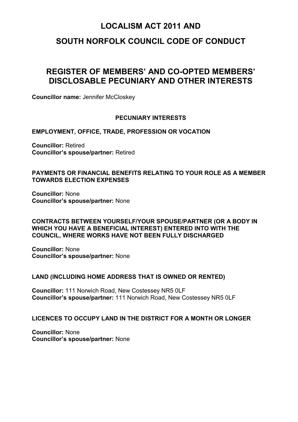### **SOUTH NORFOLK COUNCIL CODE OF CONDUCT**

# **REGISTER OF MEMBERS' AND CO-OPTED MEMBERS' DISCLOSABLE PECUNIARY AND OTHER INTERESTS**

**Councillor name:** Jennifer McCloskey

#### **PECUNIARY INTERESTS**

**EMPLOYMENT, OFFICE, TRADE, PROFESSION OR VOCATION**

**Councillor:** Retired **Councillor's spouse/partner:** Retired

#### **PAYMENTS OR FINANCIAL BENEFITS RELATING TO YOUR ROLE AS A MEMBER TOWARDS ELECTION EXPENSES**

**Councillor:** None **Councillor's spouse/partner:** None

#### **CONTRACTS BETWEEN YOURSELF/YOUR SPOUSE/PARTNER (OR A BODY IN WHICH YOU HAVE A BENEFICIAL INTEREST) ENTERED INTO WITH THE COUNCIL, WHERE WORKS HAVE NOT BEEN FULLY DISCHARGED**

**Councillor:** None **Councillor's spouse/partner:** None

#### **LAND (INCLUDING HOME ADDRESS THAT IS OWNED OR RENTED)**

**Councillor:** 111 Norwich Road, New Costessey NR5 0LF **Councillor's spouse/partner:** 111 Norwich Road, New Costessey NR5 0LF

#### **LICENCES TO OCCUPY LAND IN THE DISTRICT FOR A MONTH OR LONGER**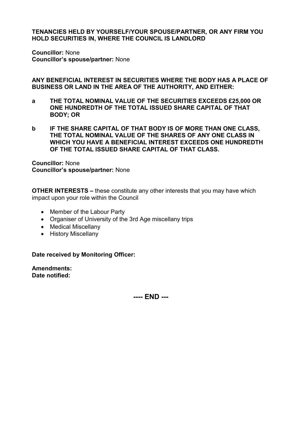**Councillor:** None **Councillor's spouse/partner:** None

**ANY BENEFICIAL INTEREST IN SECURITIES WHERE THE BODY HAS A PLACE OF BUSINESS OR LAND IN THE AREA OF THE AUTHORITY, AND EITHER:**

- **a THE TOTAL NOMINAL VALUE OF THE SECURITIES EXCEEDS £25,000 OR ONE HUNDREDTH OF THE TOTAL ISSUED SHARE CAPITAL OF THAT BODY; OR**
- **b IF THE SHARE CAPITAL OF THAT BODY IS OF MORE THAN ONE CLASS, THE TOTAL NOMINAL VALUE OF THE SHARES OF ANY ONE CLASS IN WHICH YOU HAVE A BENEFICIAL INTEREST EXCEEDS ONE HUNDREDTH OF THE TOTAL ISSUED SHARE CAPITAL OF THAT CLASS.**

**Councillor:** None **Councillor's spouse/partner:** None

**OTHER INTERESTS –** these constitute any other interests that you may have which impact upon your role within the Council

- Member of the Labour Party
- Organiser of University of the 3rd Age miscellany trips
- Medical Miscellany
- History Miscellany

**Date received by Monitoring Officer:** 

**Amendments: Date notified:**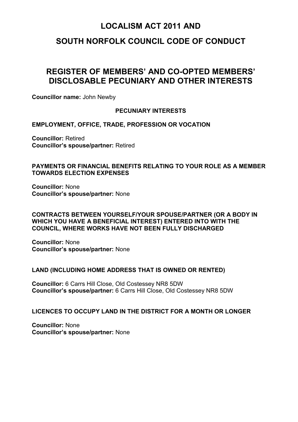### **SOUTH NORFOLK COUNCIL CODE OF CONDUCT**

# **REGISTER OF MEMBERS' AND CO-OPTED MEMBERS' DISCLOSABLE PECUNIARY AND OTHER INTERESTS**

**Councillor name:** John Newby

#### **PECUNIARY INTERESTS**

**EMPLOYMENT, OFFICE, TRADE, PROFESSION OR VOCATION**

**Councillor:** Retired **Councillor's spouse/partner:** Retired

#### **PAYMENTS OR FINANCIAL BENEFITS RELATING TO YOUR ROLE AS A MEMBER TOWARDS ELECTION EXPENSES**

**Councillor:** None **Councillor's spouse/partner:** None

#### **CONTRACTS BETWEEN YOURSELF/YOUR SPOUSE/PARTNER (OR A BODY IN WHICH YOU HAVE A BENEFICIAL INTEREST) ENTERED INTO WITH THE COUNCIL, WHERE WORKS HAVE NOT BEEN FULLY DISCHARGED**

**Councillor:** None **Councillor's spouse/partner:** None

#### **LAND (INCLUDING HOME ADDRESS THAT IS OWNED OR RENTED)**

**Councillor:** 6 Carrs Hill Close, Old Costessey NR8 5DW **Councillor's spouse/partner:** 6 Carrs Hill Close, Old Costessey NR8 5DW

#### **LICENCES TO OCCUPY LAND IN THE DISTRICT FOR A MONTH OR LONGER**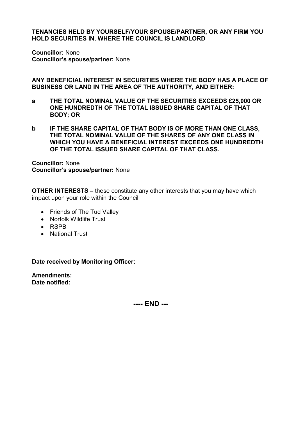**Councillor:** None **Councillor's spouse/partner:** None

**ANY BENEFICIAL INTEREST IN SECURITIES WHERE THE BODY HAS A PLACE OF BUSINESS OR LAND IN THE AREA OF THE AUTHORITY, AND EITHER:**

- **a THE TOTAL NOMINAL VALUE OF THE SECURITIES EXCEEDS £25,000 OR ONE HUNDREDTH OF THE TOTAL ISSUED SHARE CAPITAL OF THAT BODY; OR**
- **b IF THE SHARE CAPITAL OF THAT BODY IS OF MORE THAN ONE CLASS, THE TOTAL NOMINAL VALUE OF THE SHARES OF ANY ONE CLASS IN WHICH YOU HAVE A BENEFICIAL INTEREST EXCEEDS ONE HUNDREDTH OF THE TOTAL ISSUED SHARE CAPITAL OF THAT CLASS.**

**Councillor:** None **Councillor's spouse/partner:** None

**OTHER INTERESTS –** these constitute any other interests that you may have which impact upon your role within the Council

- Friends of The Tud Valley
- Norfolk Wildlife Trust
- RSPB
- National Trust

**Date received by Monitoring Officer:** 

**Amendments: Date notified:**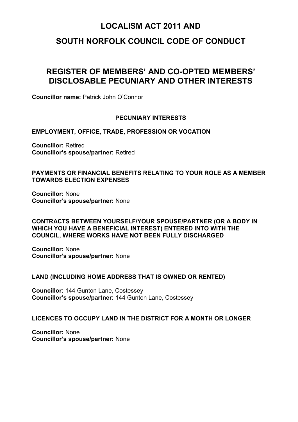### **SOUTH NORFOLK COUNCIL CODE OF CONDUCT**

# **REGISTER OF MEMBERS' AND CO-OPTED MEMBERS' DISCLOSABLE PECUNIARY AND OTHER INTERESTS**

**Councillor name:** Patrick John O'Connor

#### **PECUNIARY INTERESTS**

**EMPLOYMENT, OFFICE, TRADE, PROFESSION OR VOCATION**

**Councillor:** Retired **Councillor's spouse/partner:** Retired

#### **PAYMENTS OR FINANCIAL BENEFITS RELATING TO YOUR ROLE AS A MEMBER TOWARDS ELECTION EXPENSES**

**Councillor:** None **Councillor's spouse/partner:** None

#### **CONTRACTS BETWEEN YOURSELF/YOUR SPOUSE/PARTNER (OR A BODY IN WHICH YOU HAVE A BENEFICIAL INTEREST) ENTERED INTO WITH THE COUNCIL, WHERE WORKS HAVE NOT BEEN FULLY DISCHARGED**

**Councillor:** None **Councillor's spouse/partner:** None

#### **LAND (INCLUDING HOME ADDRESS THAT IS OWNED OR RENTED)**

**Councillor:** 144 Gunton Lane, Costessey **Councillor's spouse/partner:** 144 Gunton Lane, Costessey

#### **LICENCES TO OCCUPY LAND IN THE DISTRICT FOR A MONTH OR LONGER**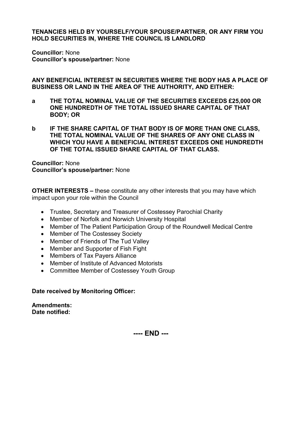**Councillor:** None **Councillor's spouse/partner:** None

**ANY BENEFICIAL INTEREST IN SECURITIES WHERE THE BODY HAS A PLACE OF BUSINESS OR LAND IN THE AREA OF THE AUTHORITY, AND EITHER:**

- **a THE TOTAL NOMINAL VALUE OF THE SECURITIES EXCEEDS £25,000 OR ONE HUNDREDTH OF THE TOTAL ISSUED SHARE CAPITAL OF THAT BODY; OR**
- **b IF THE SHARE CAPITAL OF THAT BODY IS OF MORE THAN ONE CLASS, THE TOTAL NOMINAL VALUE OF THE SHARES OF ANY ONE CLASS IN WHICH YOU HAVE A BENEFICIAL INTEREST EXCEEDS ONE HUNDREDTH OF THE TOTAL ISSUED SHARE CAPITAL OF THAT CLASS.**

**Councillor:** None **Councillor's spouse/partner:** None

**OTHER INTERESTS –** these constitute any other interests that you may have which impact upon your role within the Council

- Trustee, Secretary and Treasurer of Costessey Parochial Charity
- Member of Norfolk and Norwich University Hospital
- Member of The Patient Participation Group of the Roundwell Medical Centre
- Member of The Costessey Society
- Member of Friends of The Tud Valley
- Member and Supporter of Fish Fight
- Members of Tax Payers Alliance
- Member of Institute of Advanced Motorists
- Committee Member of Costessey Youth Group

#### **Date received by Monitoring Officer:**

**Amendments: Date notified:**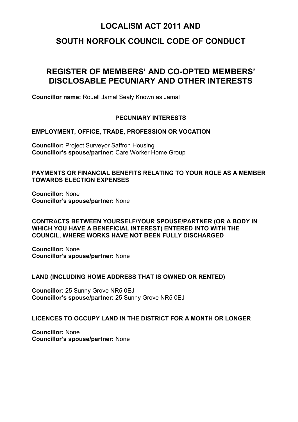### **SOUTH NORFOLK COUNCIL CODE OF CONDUCT**

# **REGISTER OF MEMBERS' AND CO-OPTED MEMBERS' DISCLOSABLE PECUNIARY AND OTHER INTERESTS**

**Councillor name:** Rouell Jamal Sealy Known as Jamal

#### **PECUNIARY INTERESTS**

#### **EMPLOYMENT, OFFICE, TRADE, PROFESSION OR VOCATION**

**Councillor:** Project Surveyor Saffron Housing **Councillor's spouse/partner:** Care Worker Home Group

#### **PAYMENTS OR FINANCIAL BENEFITS RELATING TO YOUR ROLE AS A MEMBER TOWARDS ELECTION EXPENSES**

**Councillor:** None **Councillor's spouse/partner:** None

#### **CONTRACTS BETWEEN YOURSELF/YOUR SPOUSE/PARTNER (OR A BODY IN WHICH YOU HAVE A BENEFICIAL INTEREST) ENTERED INTO WITH THE COUNCIL, WHERE WORKS HAVE NOT BEEN FULLY DISCHARGED**

**Councillor:** None **Councillor's spouse/partner:** None

#### **LAND (INCLUDING HOME ADDRESS THAT IS OWNED OR RENTED)**

**Councillor:** 25 Sunny Grove NR5 0EJ **Councillor's spouse/partner:** 25 Sunny Grove NR5 0EJ

#### **LICENCES TO OCCUPY LAND IN THE DISTRICT FOR A MONTH OR LONGER**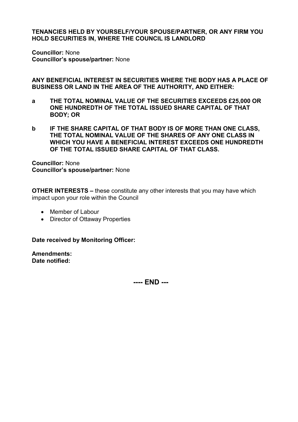**Councillor:** None **Councillor's spouse/partner:** None

**ANY BENEFICIAL INTEREST IN SECURITIES WHERE THE BODY HAS A PLACE OF BUSINESS OR LAND IN THE AREA OF THE AUTHORITY, AND EITHER:**

- **a THE TOTAL NOMINAL VALUE OF THE SECURITIES EXCEEDS £25,000 OR ONE HUNDREDTH OF THE TOTAL ISSUED SHARE CAPITAL OF THAT BODY; OR**
- **b IF THE SHARE CAPITAL OF THAT BODY IS OF MORE THAN ONE CLASS, THE TOTAL NOMINAL VALUE OF THE SHARES OF ANY ONE CLASS IN WHICH YOU HAVE A BENEFICIAL INTEREST EXCEEDS ONE HUNDREDTH OF THE TOTAL ISSUED SHARE CAPITAL OF THAT CLASS.**

**Councillor:** None **Councillor's spouse/partner:** None

**OTHER INTERESTS –** these constitute any other interests that you may have which impact upon your role within the Council

- Member of Labour
- Director of Ottaway Properties

**Date received by Monitoring Officer:** 

**Amendments: Date notified:**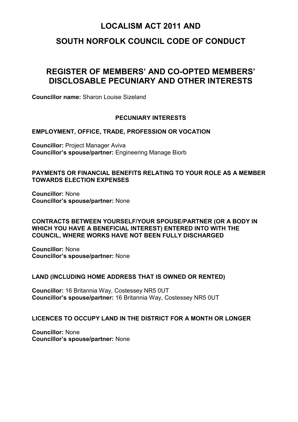### **SOUTH NORFOLK COUNCIL CODE OF CONDUCT**

# **REGISTER OF MEMBERS' AND CO-OPTED MEMBERS' DISCLOSABLE PECUNIARY AND OTHER INTERESTS**

**Councillor name:** Sharon Louise Sizeland

#### **PECUNIARY INTERESTS**

#### **EMPLOYMENT, OFFICE, TRADE, PROFESSION OR VOCATION**

**Councillor:** Project Manager Aviva **Councillor's spouse/partner:** Engineering Manage Biorb

#### **PAYMENTS OR FINANCIAL BENEFITS RELATING TO YOUR ROLE AS A MEMBER TOWARDS ELECTION EXPENSES**

**Councillor:** None **Councillor's spouse/partner:** None

#### **CONTRACTS BETWEEN YOURSELF/YOUR SPOUSE/PARTNER (OR A BODY IN WHICH YOU HAVE A BENEFICIAL INTEREST) ENTERED INTO WITH THE COUNCIL, WHERE WORKS HAVE NOT BEEN FULLY DISCHARGED**

**Councillor:** None **Councillor's spouse/partner:** None

#### **LAND (INCLUDING HOME ADDRESS THAT IS OWNED OR RENTED)**

**Councillor:** 16 Britannia Way, Costessey NR5 0UT **Councillor's spouse/partner:** 16 Britannia Way, Costessey NR5 0UT

#### **LICENCES TO OCCUPY LAND IN THE DISTRICT FOR A MONTH OR LONGER**